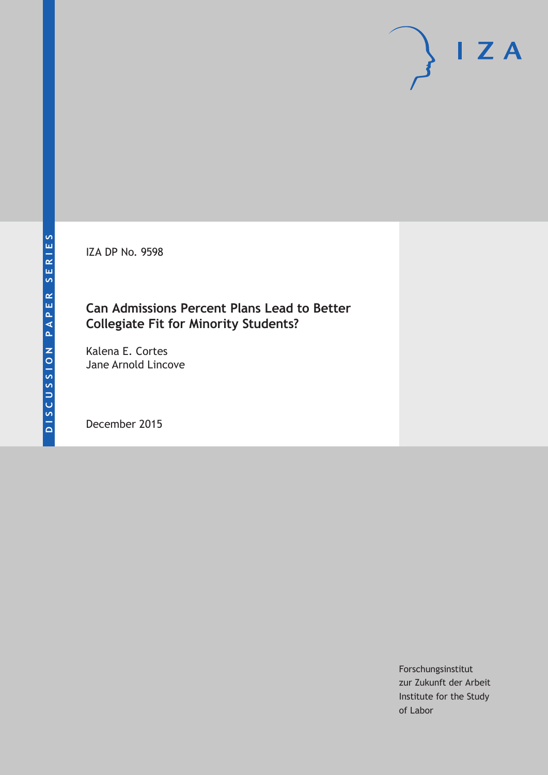IZA DP No. 9598

# **Can Admissions Percent Plans Lead to Better Collegiate Fit for Minority Students?**

Kalena E. Cortes Jane Arnold Lincove

December 2015

Forschungsinstitut zur Zukunft der Arbeit Institute for the Study of Labor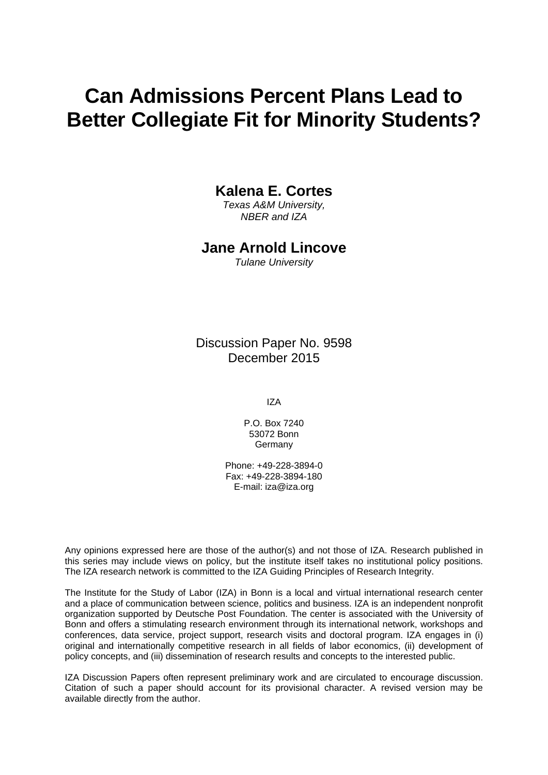# **Can Admissions Percent Plans Lead to Better Collegiate Fit for Minority Students?**

## **Kalena E. Cortes**

*Texas A&M University, NBER and IZA* 

### **Jane Arnold Lincove**

*Tulane University* 

Discussion Paper No. 9598 December 2015

IZA

P.O. Box 7240 53072 Bonn **Germany** 

Phone: +49-228-3894-0 Fax: +49-228-3894-180 E-mail: iza@iza.org

Any opinions expressed here are those of the author(s) and not those of IZA. Research published in this series may include views on policy, but the institute itself takes no institutional policy positions. The IZA research network is committed to the IZA Guiding Principles of Research Integrity.

The Institute for the Study of Labor (IZA) in Bonn is a local and virtual international research center and a place of communication between science, politics and business. IZA is an independent nonprofit organization supported by Deutsche Post Foundation. The center is associated with the University of Bonn and offers a stimulating research environment through its international network, workshops and conferences, data service, project support, research visits and doctoral program. IZA engages in (i) original and internationally competitive research in all fields of labor economics, (ii) development of policy concepts, and (iii) dissemination of research results and concepts to the interested public.

IZA Discussion Papers often represent preliminary work and are circulated to encourage discussion. Citation of such a paper should account for its provisional character. A revised version may be available directly from the author.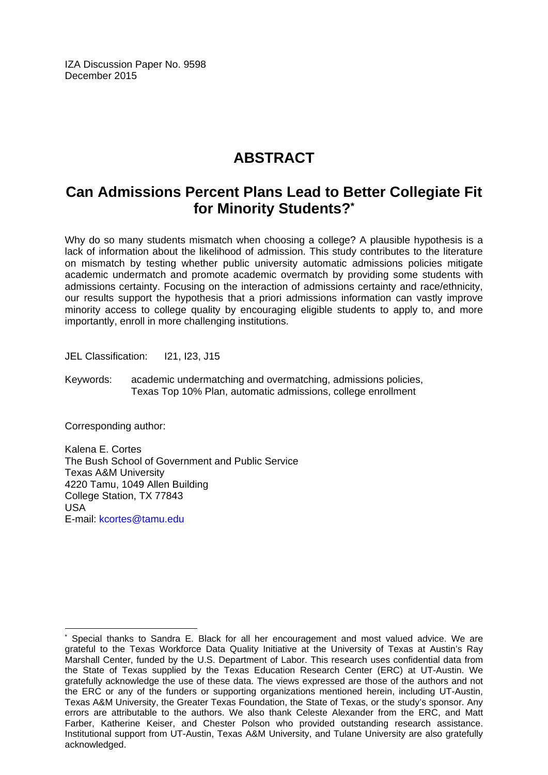IZA Discussion Paper No. 9598 December 2015

# **ABSTRACT**

# **Can Admissions Percent Plans Lead to Better Collegiate Fit for Minority Students?\***

Why do so many students mismatch when choosing a college? A plausible hypothesis is a lack of information about the likelihood of admission. This study contributes to the literature on mismatch by testing whether public university automatic admissions policies mitigate academic undermatch and promote academic overmatch by providing some students with admissions certainty. Focusing on the interaction of admissions certainty and race/ethnicity, our results support the hypothesis that a priori admissions information can vastly improve minority access to college quality by encouraging eligible students to apply to, and more importantly, enroll in more challenging institutions.

JEL Classification: I21, I23, J15

Keywords: academic undermatching and overmatching, admissions policies, Texas Top 10% Plan, automatic admissions, college enrollment

Corresponding author:

Kalena E. Cortes The Bush School of Government and Public Service Texas A&M University 4220 Tamu, 1049 Allen Building College Station, TX 77843 USA E-mail: kcortes@tamu.edu

 $\overline{a}$ \* Special thanks to Sandra E. Black for all her encouragement and most valued advice. We are grateful to the Texas Workforce Data Quality Initiative at the University of Texas at Austin's Ray Marshall Center, funded by the U.S. Department of Labor. This research uses confidential data from the State of Texas supplied by the Texas Education Research Center (ERC) at UT-Austin. We gratefully acknowledge the use of these data. The views expressed are those of the authors and not the ERC or any of the funders or supporting organizations mentioned herein, including UT-Austin, Texas A&M University, the Greater Texas Foundation, the State of Texas, or the study's sponsor. Any errors are attributable to the authors. We also thank Celeste Alexander from the ERC, and Matt Farber, Katherine Keiser, and Chester Polson who provided outstanding research assistance. Institutional support from UT-Austin, Texas A&M University, and Tulane University are also gratefully acknowledged.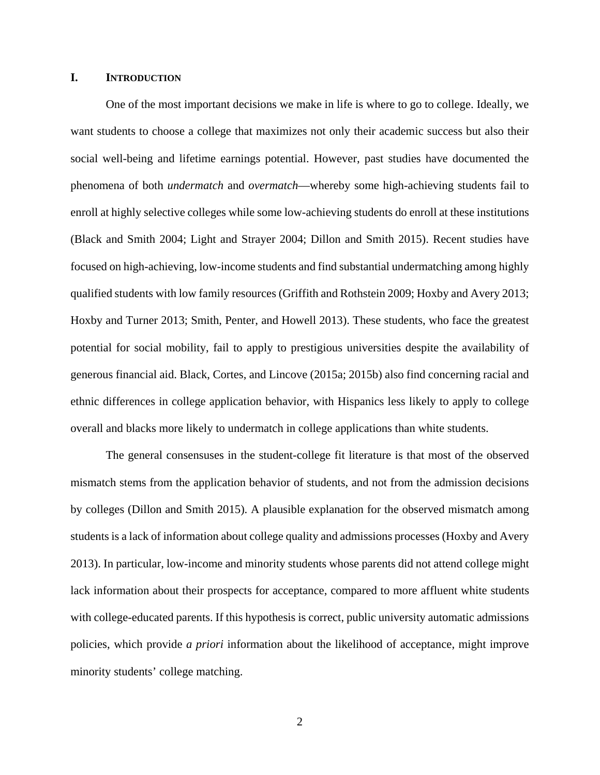#### **I. INTRODUCTION**

One of the most important decisions we make in life is where to go to college. Ideally, we want students to choose a college that maximizes not only their academic success but also their social well-being and lifetime earnings potential. However, past studies have documented the phenomena of both *undermatch* and *overmatch*—whereby some high-achieving students fail to enroll at highly selective colleges while some low-achieving students do enroll at these institutions (Black and Smith 2004; Light and Strayer 2004; Dillon and Smith 2015). Recent studies have focused on high-achieving, low-income students and find substantial undermatching among highly qualified students with low family resources (Griffith and Rothstein 2009; Hoxby and Avery 2013; Hoxby and Turner 2013; Smith, Penter, and Howell 2013). These students, who face the greatest potential for social mobility, fail to apply to prestigious universities despite the availability of generous financial aid. Black, Cortes, and Lincove (2015a; 2015b) also find concerning racial and ethnic differences in college application behavior, with Hispanics less likely to apply to college overall and blacks more likely to undermatch in college applications than white students.

The general consensuses in the student-college fit literature is that most of the observed mismatch stems from the application behavior of students, and not from the admission decisions by colleges (Dillon and Smith 2015). A plausible explanation for the observed mismatch among students is a lack of information about college quality and admissions processes (Hoxby and Avery 2013). In particular, low-income and minority students whose parents did not attend college might lack information about their prospects for acceptance, compared to more affluent white students with college-educated parents. If this hypothesis is correct, public university automatic admissions policies, which provide *a priori* information about the likelihood of acceptance, might improve minority students' college matching.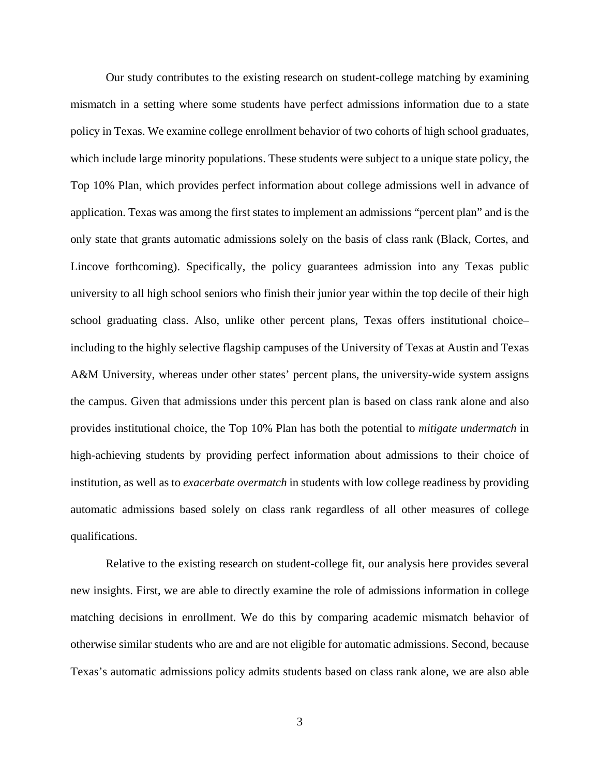Our study contributes to the existing research on student-college matching by examining mismatch in a setting where some students have perfect admissions information due to a state policy in Texas. We examine college enrollment behavior of two cohorts of high school graduates, which include large minority populations. These students were subject to a unique state policy, the Top 10% Plan, which provides perfect information about college admissions well in advance of application. Texas was among the first states to implement an admissions "percent plan" and is the only state that grants automatic admissions solely on the basis of class rank (Black, Cortes, and Lincove forthcoming). Specifically, the policy guarantees admission into any Texas public university to all high school seniors who finish their junior year within the top decile of their high school graduating class. Also, unlike other percent plans, Texas offers institutional choice– including to the highly selective flagship campuses of the University of Texas at Austin and Texas A&M University, whereas under other states' percent plans, the university-wide system assigns the campus. Given that admissions under this percent plan is based on class rank alone and also provides institutional choice, the Top 10% Plan has both the potential to *mitigate undermatch* in high-achieving students by providing perfect information about admissions to their choice of institution, as well as to *exacerbate overmatch* in students with low college readiness by providing automatic admissions based solely on class rank regardless of all other measures of college qualifications.

Relative to the existing research on student-college fit, our analysis here provides several new insights. First, we are able to directly examine the role of admissions information in college matching decisions in enrollment. We do this by comparing academic mismatch behavior of otherwise similar students who are and are not eligible for automatic admissions. Second, because Texas's automatic admissions policy admits students based on class rank alone, we are also able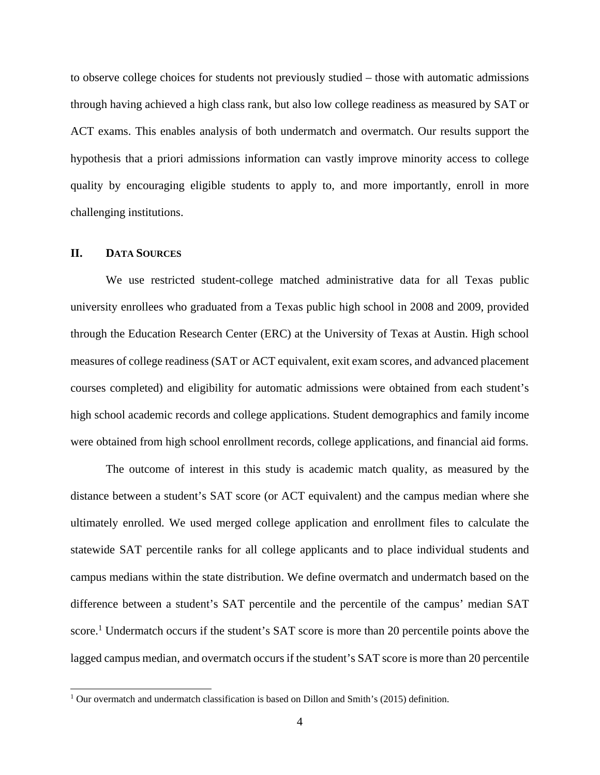to observe college choices for students not previously studied – those with automatic admissions through having achieved a high class rank, but also low college readiness as measured by SAT or ACT exams. This enables analysis of both undermatch and overmatch. Our results support the hypothesis that a priori admissions information can vastly improve minority access to college quality by encouraging eligible students to apply to, and more importantly, enroll in more challenging institutions.

#### **II. DATA SOURCES**

 $\overline{a}$ 

We use restricted student-college matched administrative data for all Texas public university enrollees who graduated from a Texas public high school in 2008 and 2009, provided through the Education Research Center (ERC) at the University of Texas at Austin. High school measures of college readiness (SAT or ACT equivalent, exit exam scores, and advanced placement courses completed) and eligibility for automatic admissions were obtained from each student's high school academic records and college applications. Student demographics and family income were obtained from high school enrollment records, college applications, and financial aid forms.

The outcome of interest in this study is academic match quality, as measured by the distance between a student's SAT score (or ACT equivalent) and the campus median where she ultimately enrolled. We used merged college application and enrollment files to calculate the statewide SAT percentile ranks for all college applicants and to place individual students and campus medians within the state distribution. We define overmatch and undermatch based on the difference between a student's SAT percentile and the percentile of the campus' median SAT score.<sup>1</sup> Undermatch occurs if the student's SAT score is more than 20 percentile points above the lagged campus median, and overmatch occurs if the student's SAT score is more than 20 percentile

<sup>&</sup>lt;sup>1</sup> Our overmatch and undermatch classification is based on Dillon and Smith's (2015) definition.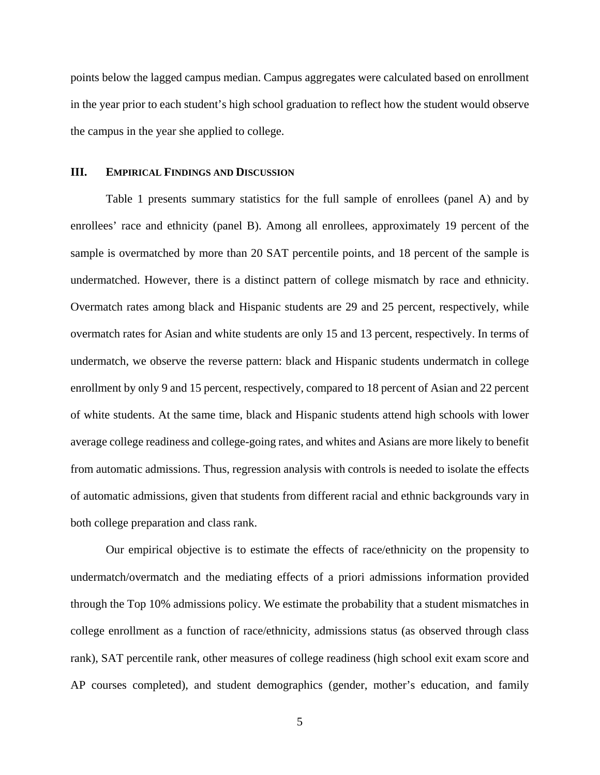points below the lagged campus median. Campus aggregates were calculated based on enrollment in the year prior to each student's high school graduation to reflect how the student would observe the campus in the year she applied to college.

#### **III. EMPIRICAL FINDINGS AND DISCUSSION**

Table 1 presents summary statistics for the full sample of enrollees (panel A) and by enrollees' race and ethnicity (panel B). Among all enrollees, approximately 19 percent of the sample is overmatched by more than 20 SAT percentile points, and 18 percent of the sample is undermatched. However, there is a distinct pattern of college mismatch by race and ethnicity. Overmatch rates among black and Hispanic students are 29 and 25 percent, respectively, while overmatch rates for Asian and white students are only 15 and 13 percent, respectively. In terms of undermatch, we observe the reverse pattern: black and Hispanic students undermatch in college enrollment by only 9 and 15 percent, respectively, compared to 18 percent of Asian and 22 percent of white students. At the same time, black and Hispanic students attend high schools with lower average college readiness and college-going rates, and whites and Asians are more likely to benefit from automatic admissions. Thus, regression analysis with controls is needed to isolate the effects of automatic admissions, given that students from different racial and ethnic backgrounds vary in both college preparation and class rank.

 Our empirical objective is to estimate the effects of race/ethnicity on the propensity to undermatch/overmatch and the mediating effects of a priori admissions information provided through the Top 10% admissions policy. We estimate the probability that a student mismatches in college enrollment as a function of race/ethnicity, admissions status (as observed through class rank), SAT percentile rank, other measures of college readiness (high school exit exam score and AP courses completed), and student demographics (gender, mother's education, and family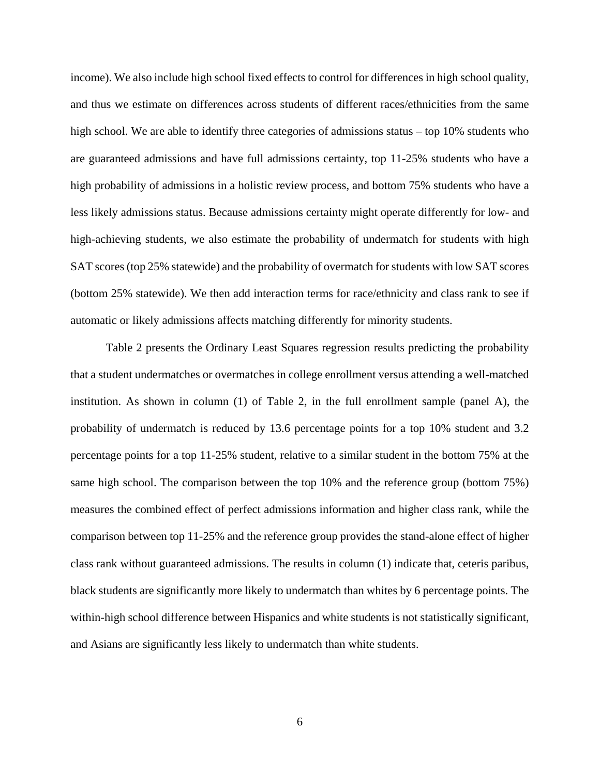income). We also include high school fixed effects to control for differences in high school quality, and thus we estimate on differences across students of different races/ethnicities from the same high school. We are able to identify three categories of admissions status – top 10% students who are guaranteed admissions and have full admissions certainty, top 11-25% students who have a high probability of admissions in a holistic review process, and bottom 75% students who have a less likely admissions status. Because admissions certainty might operate differently for low- and high-achieving students, we also estimate the probability of undermatch for students with high SAT scores (top 25% statewide) and the probability of overmatch for students with low SAT scores (bottom 25% statewide). We then add interaction terms for race/ethnicity and class rank to see if automatic or likely admissions affects matching differently for minority students.

 Table 2 presents the Ordinary Least Squares regression results predicting the probability that a student undermatches or overmatches in college enrollment versus attending a well-matched institution. As shown in column (1) of Table 2, in the full enrollment sample (panel A), the probability of undermatch is reduced by 13.6 percentage points for a top 10% student and 3.2 percentage points for a top 11-25% student, relative to a similar student in the bottom 75% at the same high school. The comparison between the top 10% and the reference group (bottom 75%) measures the combined effect of perfect admissions information and higher class rank, while the comparison between top 11-25% and the reference group provides the stand-alone effect of higher class rank without guaranteed admissions. The results in column (1) indicate that, ceteris paribus, black students are significantly more likely to undermatch than whites by 6 percentage points. The within-high school difference between Hispanics and white students is not statistically significant, and Asians are significantly less likely to undermatch than white students.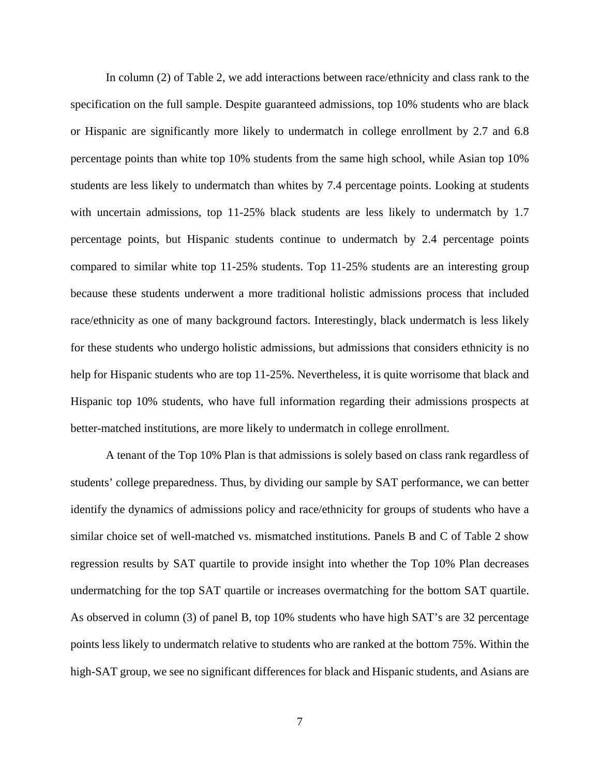In column (2) of Table 2, we add interactions between race/ethnicity and class rank to the specification on the full sample. Despite guaranteed admissions, top 10% students who are black or Hispanic are significantly more likely to undermatch in college enrollment by 2.7 and 6.8 percentage points than white top 10% students from the same high school, while Asian top 10% students are less likely to undermatch than whites by 7.4 percentage points. Looking at students with uncertain admissions, top 11-25% black students are less likely to undermatch by 1.7 percentage points, but Hispanic students continue to undermatch by 2.4 percentage points compared to similar white top 11-25% students. Top 11-25% students are an interesting group because these students underwent a more traditional holistic admissions process that included race/ethnicity as one of many background factors. Interestingly, black undermatch is less likely for these students who undergo holistic admissions, but admissions that considers ethnicity is no help for Hispanic students who are top 11-25%. Nevertheless, it is quite worrisome that black and Hispanic top 10% students, who have full information regarding their admissions prospects at better-matched institutions, are more likely to undermatch in college enrollment.

 A tenant of the Top 10% Plan is that admissions is solely based on class rank regardless of students' college preparedness. Thus, by dividing our sample by SAT performance, we can better identify the dynamics of admissions policy and race/ethnicity for groups of students who have a similar choice set of well-matched vs. mismatched institutions. Panels B and C of Table 2 show regression results by SAT quartile to provide insight into whether the Top 10% Plan decreases undermatching for the top SAT quartile or increases overmatching for the bottom SAT quartile. As observed in column (3) of panel B, top 10% students who have high SAT's are 32 percentage points less likely to undermatch relative to students who are ranked at the bottom 75%. Within the high-SAT group, we see no significant differences for black and Hispanic students, and Asians are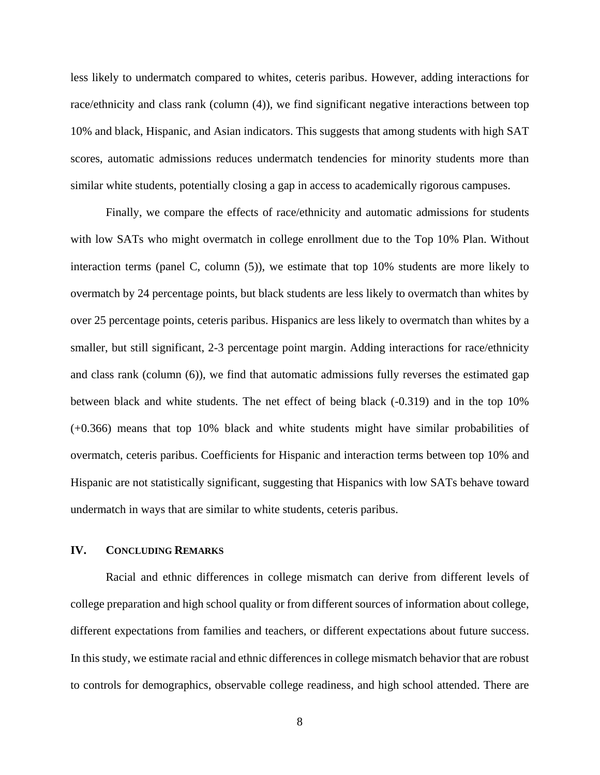less likely to undermatch compared to whites, ceteris paribus. However, adding interactions for race/ethnicity and class rank (column (4)), we find significant negative interactions between top 10% and black, Hispanic, and Asian indicators. This suggests that among students with high SAT scores, automatic admissions reduces undermatch tendencies for minority students more than similar white students, potentially closing a gap in access to academically rigorous campuses.

 Finally, we compare the effects of race/ethnicity and automatic admissions for students with low SATs who might overmatch in college enrollment due to the Top 10% Plan. Without interaction terms (panel C, column (5)), we estimate that top 10% students are more likely to overmatch by 24 percentage points, but black students are less likely to overmatch than whites by over 25 percentage points, ceteris paribus. Hispanics are less likely to overmatch than whites by a smaller, but still significant, 2-3 percentage point margin. Adding interactions for race/ethnicity and class rank (column (6)), we find that automatic admissions fully reverses the estimated gap between black and white students. The net effect of being black (-0.319) and in the top 10% (+0.366) means that top 10% black and white students might have similar probabilities of overmatch, ceteris paribus. Coefficients for Hispanic and interaction terms between top 10% and Hispanic are not statistically significant, suggesting that Hispanics with low SATs behave toward undermatch in ways that are similar to white students, ceteris paribus.

#### **IV. CONCLUDING REMARKS**

Racial and ethnic differences in college mismatch can derive from different levels of college preparation and high school quality or from different sources of information about college, different expectations from families and teachers, or different expectations about future success. In this study, we estimate racial and ethnic differences in college mismatch behavior that are robust to controls for demographics, observable college readiness, and high school attended. There are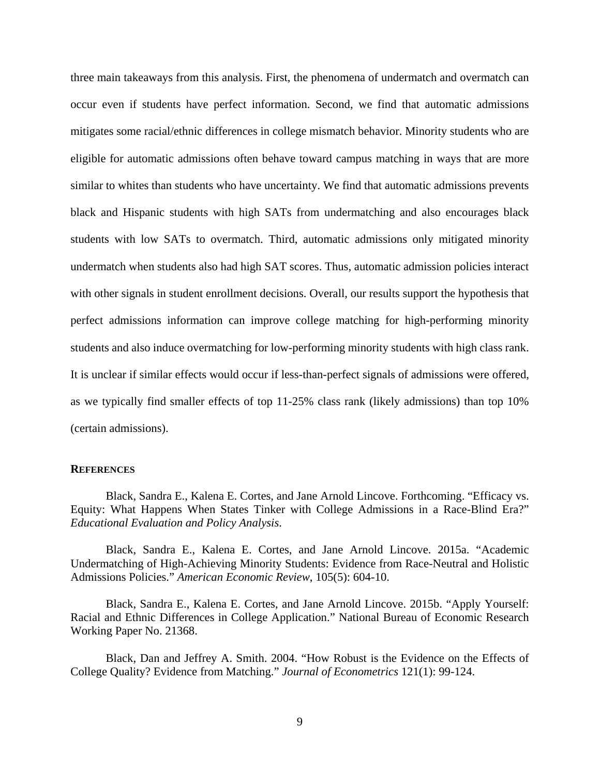three main takeaways from this analysis. First, the phenomena of undermatch and overmatch can occur even if students have perfect information. Second, we find that automatic admissions mitigates some racial/ethnic differences in college mismatch behavior. Minority students who are eligible for automatic admissions often behave toward campus matching in ways that are more similar to whites than students who have uncertainty. We find that automatic admissions prevents black and Hispanic students with high SATs from undermatching and also encourages black students with low SATs to overmatch. Third, automatic admissions only mitigated minority undermatch when students also had high SAT scores. Thus, automatic admission policies interact with other signals in student enrollment decisions. Overall, our results support the hypothesis that perfect admissions information can improve college matching for high-performing minority students and also induce overmatching for low-performing minority students with high class rank. It is unclear if similar effects would occur if less-than-perfect signals of admissions were offered, as we typically find smaller effects of top 11-25% class rank (likely admissions) than top 10% (certain admissions).

#### **REFERENCES**

Black, Sandra E., Kalena E. Cortes, and Jane Arnold Lincove. Forthcoming. "Efficacy vs. Equity: What Happens When States Tinker with College Admissions in a Race-Blind Era?" *Educational Evaluation and Policy Analysis*.

Black, Sandra E., Kalena E. Cortes, and Jane Arnold Lincove. 2015a. "Academic Undermatching of High-Achieving Minority Students: Evidence from Race-Neutral and Holistic Admissions Policies." *American Economic Review*, 105(5): 604-10.

Black, Sandra E., Kalena E. Cortes, and Jane Arnold Lincove. 2015b. "Apply Yourself: Racial and Ethnic Differences in College Application." National Bureau of Economic Research Working Paper No. 21368.

Black, Dan and Jeffrey A. Smith. 2004. "How Robust is the Evidence on the Effects of College Quality? Evidence from Matching." *Journal of Econometrics* 121(1): 99-124.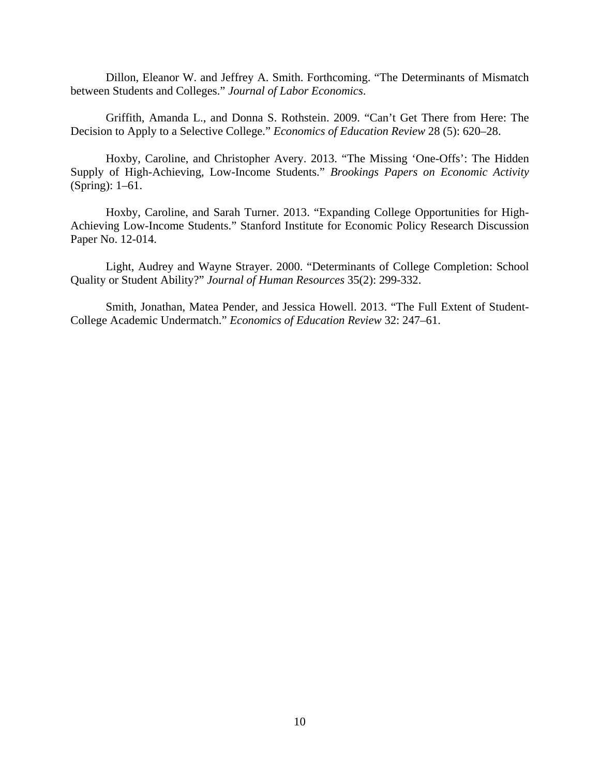Dillon, Eleanor W. and Jeffrey A. Smith. Forthcoming. "The Determinants of Mismatch between Students and Colleges." *Journal of Labor Economics*.

Griffith, Amanda L., and Donna S. Rothstein. 2009. "Can't Get There from Here: The Decision to Apply to a Selective College." *Economics of Education Review* 28 (5): 620–28.

Hoxby, Caroline, and Christopher Avery. 2013. "The Missing 'One-Offs': The Hidden Supply of High-Achieving, Low-Income Students." *Brookings Papers on Economic Activity* (Spring): 1–61.

Hoxby, Caroline, and Sarah Turner. 2013. "Expanding College Opportunities for High-Achieving Low-Income Students." Stanford Institute for Economic Policy Research Discussion Paper No. 12-014.

Light, Audrey and Wayne Strayer. 2000. "Determinants of College Completion: School Quality or Student Ability?" *Journal of Human Resources* 35(2): 299-332.

Smith, Jonathan, Matea Pender, and Jessica Howell. 2013. "The Full Extent of Student-College Academic Undermatch." *Economics of Education Review* 32: 247–61.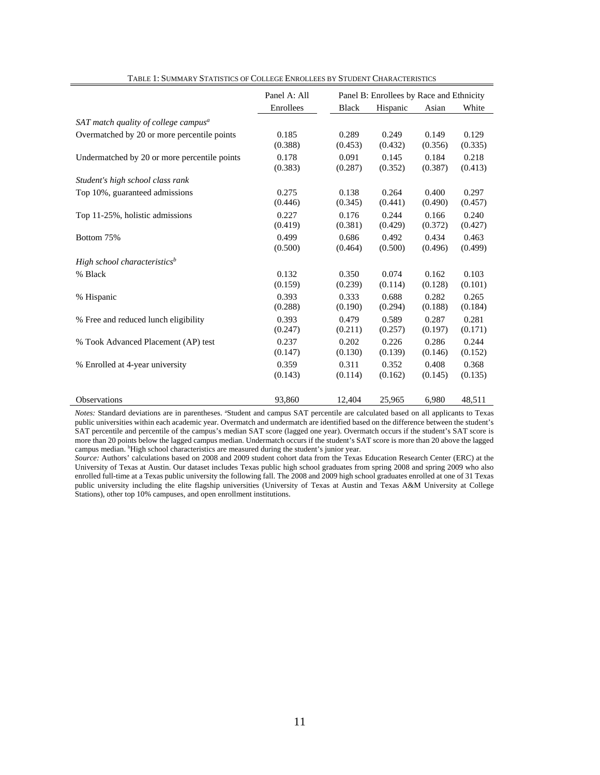|                                                  | Panel A: All | Panel B: Enrollees by Race and Ethnicity |          |         |         |
|--------------------------------------------------|--------------|------------------------------------------|----------|---------|---------|
|                                                  | Enrollees    | <b>Black</b>                             | Hispanic | Asian   | White   |
| SAT match quality of college campus <sup>a</sup> |              |                                          |          |         |         |
| Overmatched by 20 or more percentile points      | 0.185        | 0.289                                    | 0.249    | 0.149   | 0.129   |
|                                                  | (0.388)      | (0.453)                                  | (0.432)  | (0.356) | (0.335) |
| Undermatched by 20 or more percentile points     | 0.178        | 0.091                                    | 0.145    | 0.184   | 0.218   |
|                                                  | (0.383)      | (0.287)                                  | (0.352)  | (0.387) | (0.413) |
| Student's high school class rank                 |              |                                          |          |         |         |
| Top 10%, guaranteed admissions                   | 0.275        | 0.138                                    | 0.264    | 0.400   | 0.297   |
|                                                  | (0.446)      | (0.345)                                  | (0.441)  | (0.490) | (0.457) |
| Top 11-25%, holistic admissions                  | 0.227        | 0.176                                    | 0.244    | 0.166   | 0.240   |
|                                                  | (0.419)      | (0.381)                                  | (0.429)  | (0.372) | (0.427) |
| Bottom 75%                                       | 0.499        | 0.686                                    | 0.492    | 0.434   | 0.463   |
|                                                  | (0.500)      | (0.464)                                  | (0.500)  | (0.496) | (0.499) |
| High school characteristics <sup>b</sup>         |              |                                          |          |         |         |
| % Black                                          | 0.132        | 0.350                                    | 0.074    | 0.162   | 0.103   |
|                                                  | (0.159)      | (0.239)                                  | (0.114)  | (0.128) | (0.101) |
| % Hispanic                                       | 0.393        | 0.333                                    | 0.688    | 0.282   | 0.265   |
|                                                  | (0.288)      | (0.190)                                  | (0.294)  | (0.188) | (0.184) |
| % Free and reduced lunch eligibility             | 0.393        | 0.479                                    | 0.589    | 0.287   | 0.281   |
|                                                  | (0.247)      | (0.211)                                  | (0.257)  | (0.197) | (0.171) |
| % Took Advanced Placement (AP) test              | 0.237        | 0.202                                    | 0.226    | 0.286   | 0.244   |
|                                                  | (0.147)      | (0.130)                                  | (0.139)  | (0.146) | (0.152) |
| % Enrolled at 4-year university                  | 0.359        | 0.311                                    | 0.352    | 0.408   | 0.368   |
|                                                  | (0.143)      | (0.114)                                  | (0.162)  | (0.145) | (0.135) |
| Observations                                     | 93,860       | 12,404                                   | 25,965   | 6,980   | 48,511  |

TABLE 1: SUMMARY STATISTICS OF COLLEGE ENROLLEES BY STUDENT CHARACTERISTICS

Notes: Standard deviations are in parentheses. <sup>a</sup>Student and campus SAT percentile are calculated based on all applicants to Texas public universities within each academic year. Overmatch and undermatch are identified based on the difference between the student's SAT percentile and percentile of the campus's median SAT score (lagged one year). Overmatch occurs if the student's SAT score is more than 20 points below the lagged campus median. Undermatch occurs if the student's SAT score is more than 20 above the lagged campus median. <sup>b</sup>High school characteristics are measured during the student's junior year.

*Source:* Authors' calculations based on 2008 and 2009 student cohort data from the Texas Education Research Center (ERC) at the University of Texas at Austin. Our dataset includes Texas public high school graduates from spring 2008 and spring 2009 who also enrolled full-time at a Texas public university the following fall. The 2008 and 2009 high school graduates enrolled at one of 31 Texas public university including the elite flagship universities (University of Texas at Austin and Texas A&M University at College Stations), other top 10% campuses, and open enrollment institutions.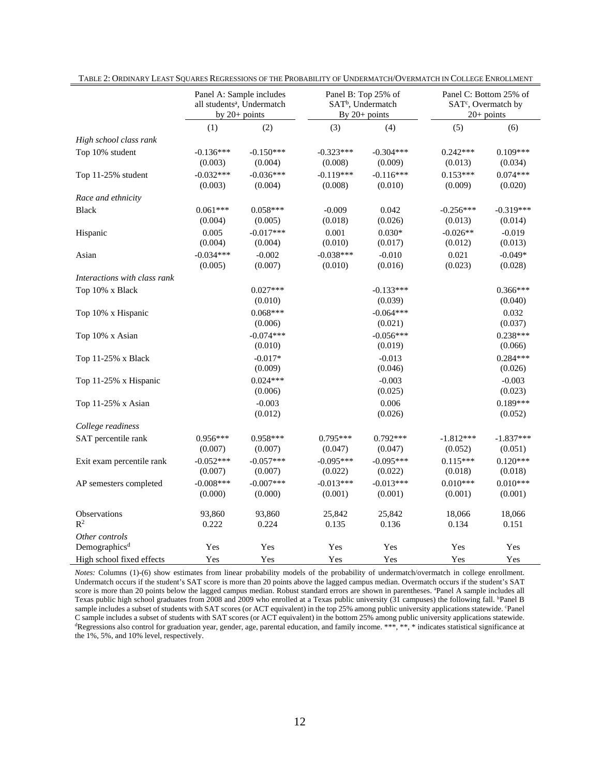|                                             |                        | Panel B: Top 25% of<br>Panel A: Sample includes<br>SAT <sup>b</sup> , Undermatch<br>all students <sup>a</sup> , Undermatch<br>By $20+$ points<br>by $20+$ points |                        | Panel C: Bottom 25% of<br>SAT <sup>c</sup> , Overmatch by<br>$20+$ points |                        |                        |
|---------------------------------------------|------------------------|------------------------------------------------------------------------------------------------------------------------------------------------------------------|------------------------|---------------------------------------------------------------------------|------------------------|------------------------|
|                                             | (1)                    | (2)                                                                                                                                                              | (3)                    | (4)                                                                       | (5)                    | (6)                    |
| High school class rank                      |                        |                                                                                                                                                                  |                        |                                                                           |                        |                        |
| Top 10% student                             | $-0.136***$<br>(0.003) | $-0.150***$<br>(0.004)                                                                                                                                           | $-0.323***$<br>(0.008) | $-0.304***$<br>(0.009)                                                    | $0.242***$<br>(0.013)  | $0.109***$<br>(0.034)  |
| Top 11-25% student                          | $-0.032***$<br>(0.003) | $-0.036***$<br>(0.004)                                                                                                                                           | $-0.119***$<br>(0.008) | $-0.116***$<br>(0.010)                                                    | $0.153***$<br>(0.009)  | $0.074***$<br>(0.020)  |
| Race and ethnicity                          |                        |                                                                                                                                                                  |                        |                                                                           |                        |                        |
| <b>Black</b>                                | $0.061***$<br>(0.004)  | $0.058***$<br>(0.005)                                                                                                                                            | $-0.009$<br>(0.018)    | 0.042<br>(0.026)                                                          | $-0.256***$<br>(0.013) | $-0.319***$<br>(0.014) |
| Hispanic                                    | 0.005<br>(0.004)       | $-0.017***$<br>(0.004)                                                                                                                                           | 0.001<br>(0.010)       | $0.030*$<br>(0.017)                                                       | $-0.026**$<br>(0.012)  | $-0.019$<br>(0.013)    |
| Asian                                       | $-0.034***$<br>(0.005) | $-0.002$<br>(0.007)                                                                                                                                              | $-0.038***$<br>(0.010) | $-0.010$<br>(0.016)                                                       | 0.021<br>(0.023)       | $-0.049*$<br>(0.028)   |
| Interactions with class rank                |                        |                                                                                                                                                                  |                        |                                                                           |                        |                        |
| Top 10% x Black                             |                        | $0.027***$<br>(0.010)                                                                                                                                            |                        | $-0.133***$<br>(0.039)                                                    |                        | $0.366***$<br>(0.040)  |
| Top 10% x Hispanic                          |                        | $0.068***$<br>(0.006)                                                                                                                                            |                        | $-0.064***$<br>(0.021)                                                    |                        | 0.032<br>(0.037)       |
| Top 10% x Asian                             |                        | $-0.074***$<br>(0.010)                                                                                                                                           |                        | $-0.056***$<br>(0.019)                                                    |                        | $0.238***$<br>(0.066)  |
| Top 11-25% x Black                          |                        | $-0.017*$<br>(0.009)                                                                                                                                             |                        | $-0.013$<br>(0.046)                                                       |                        | $0.284***$<br>(0.026)  |
| Top 11-25% x Hispanic                       |                        | $0.024***$<br>(0.006)                                                                                                                                            |                        | $-0.003$<br>(0.025)                                                       |                        | $-0.003$<br>(0.023)    |
| Top 11-25% x Asian                          |                        | $-0.003$<br>(0.012)                                                                                                                                              |                        | 0.006<br>(0.026)                                                          |                        | $0.189***$<br>(0.052)  |
| College readiness                           |                        |                                                                                                                                                                  |                        |                                                                           |                        |                        |
| SAT percentile rank                         | $0.956***$<br>(0.007)  | 0.958***<br>(0.007)                                                                                                                                              | 0.795***<br>(0.047)    | $0.792***$<br>(0.047)                                                     | $-1.812***$<br>(0.052) | $-1.837***$<br>(0.051) |
| Exit exam percentile rank                   | $-0.052***$<br>(0.007) | $-0.057***$<br>(0.007)                                                                                                                                           | $-0.095***$<br>(0.022) | $-0.095***$<br>(0.022)                                                    | $0.115***$<br>(0.018)  | $0.120***$<br>(0.018)  |
| AP semesters completed                      | $-0.008***$<br>(0.000) | $-0.007$ ***<br>(0.000)                                                                                                                                          | $-0.013***$<br>(0.001) | $-0.013***$<br>(0.001)                                                    | $0.010***$<br>(0.001)  | $0.010***$<br>(0.001)  |
| Observations<br>$\mathbb{R}^2$              | 93,860<br>0.222        | 93,860<br>0.224                                                                                                                                                  | 25,842<br>0.135        | 25,842<br>0.136                                                           | 18,066<br>0.134        | 18,066<br>0.151        |
| Other controls<br>Demographics <sup>d</sup> | Yes                    | Yes                                                                                                                                                              | Yes                    | Yes                                                                       | Yes                    | Yes                    |
| High school fixed effects                   | Yes                    | Yes                                                                                                                                                              | Yes                    | Yes                                                                       | Yes                    | Yes                    |

*Notes:* Columns (1)-(6) show estimates from linear probability models of the probability of undermatch/overmatch in college enrollment. Undermatch occurs if the student's SAT score is more than 20 points above the lagged campus median. Overmatch occurs if the student's SAT score is more than 20 points below the lagged campus median. Robust standard errors are shown in parentheses. <sup>a</sup>Panel A sample includes all Texas public high school graduates from 2008 and 2009 who enrolled at a Texas public university (31 campuses) the following fall. <sup>b</sup>Panel B sample includes a subset of students with SAT scores (or ACT equivalent) in the top 25% among public university applications statewide. Panel C sample includes a subset of students with SAT scores (or ACT equivalent) in the bottom 25% among public university applications statewide.<br>"Regressions also control for graduation year, gender, age, parental education, a the 1%, 5%, and 10% level, respectively.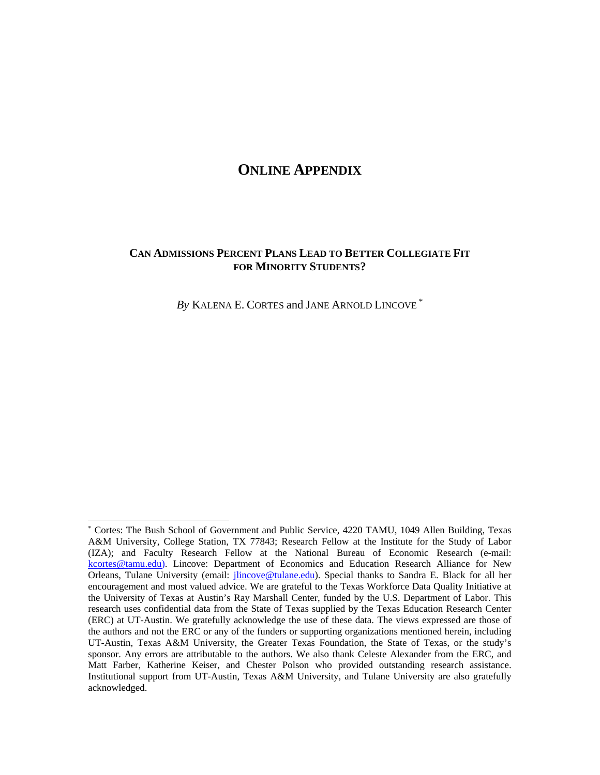### **ONLINE APPENDIX**

#### **CAN ADMISSIONS PERCENT PLANS LEAD TO BETTER COLLEGIATE FIT FOR MINORITY STUDENTS?**

*By* KALENA E. CORTES and JANE ARNOLD LINCOVE \*

 $\overline{a}$ 

<sup>\*</sup> Cortes: The Bush School of Government and Public Service, 4220 TAMU, 1049 Allen Building, Texas A&M University, College Station, TX 77843; Research Fellow at the Institute for the Study of Labor (IZA); and Faculty Research Fellow at the National Bureau of Economic Research (e-mail: kcortes@tamu.edu). Lincove: Department of Economics and Education Research Alliance for New Orleans, Tulane University (email: *jlincove@tulane.edu*). Special thanks to Sandra E. Black for all her encouragement and most valued advice. We are grateful to the Texas Workforce Data Quality Initiative at the University of Texas at Austin's Ray Marshall Center, funded by the U.S. Department of Labor. This research uses confidential data from the State of Texas supplied by the Texas Education Research Center (ERC) at UT-Austin. We gratefully acknowledge the use of these data. The views expressed are those of the authors and not the ERC or any of the funders or supporting organizations mentioned herein, including UT-Austin, Texas A&M University, the Greater Texas Foundation, the State of Texas, or the study's sponsor. Any errors are attributable to the authors. We also thank Celeste Alexander from the ERC, and Matt Farber, Katherine Keiser, and Chester Polson who provided outstanding research assistance. Institutional support from UT-Austin, Texas A&M University, and Tulane University are also gratefully acknowledged.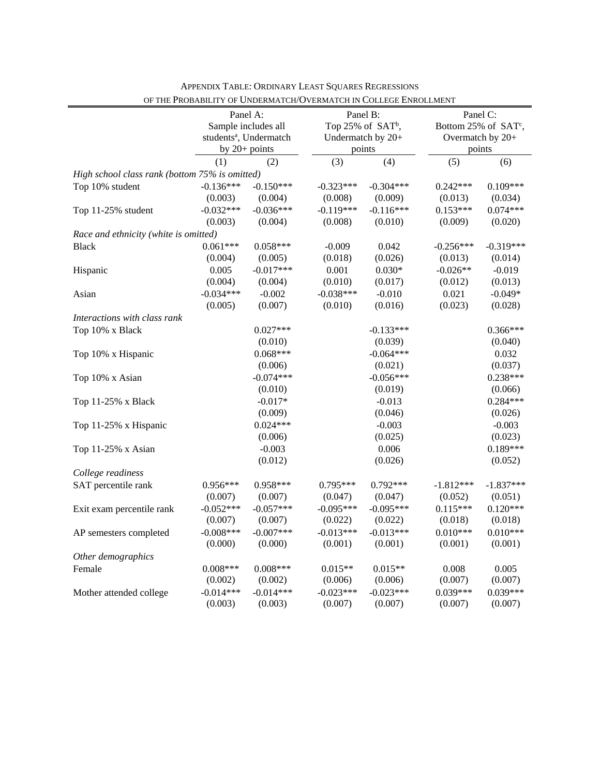|                                                | Panel A:<br>Sample includes all<br>students <sup>a</sup> , Undermatch |                 | Panel B:<br>Top 25% of SAT <sup>b</sup> ,<br>Undermatch by 20+ |             | Panel C:<br>Bottom 25% of SAT <sup>c</sup> ,<br>Overmatch by 20+ |             |  |
|------------------------------------------------|-----------------------------------------------------------------------|-----------------|----------------------------------------------------------------|-------------|------------------------------------------------------------------|-------------|--|
|                                                |                                                                       | by $20+$ points |                                                                | points      | points                                                           |             |  |
|                                                | (1)                                                                   | (2)             | (3)                                                            | (4)         | (5)                                                              | (6)         |  |
| High school class rank (bottom 75% is omitted) |                                                                       |                 |                                                                |             |                                                                  |             |  |
| Top 10% student                                | $-0.136***$                                                           | $-0.150***$     | $-0.323***$                                                    | $-0.304***$ | $0.242***$                                                       | $0.109***$  |  |
|                                                | (0.003)                                                               | (0.004)         | (0.008)                                                        | (0.009)     | (0.013)                                                          | (0.034)     |  |
| Top 11-25% student                             | $-0.032***$                                                           | $-0.036***$     | $-0.119***$                                                    | $-0.116***$ | $0.153***$                                                       | $0.074***$  |  |
|                                                | (0.003)                                                               | (0.004)         | (0.008)                                                        | (0.010)     | (0.009)                                                          | (0.020)     |  |
| Race and ethnicity (white is omitted)          |                                                                       |                 |                                                                |             |                                                                  |             |  |
| <b>Black</b>                                   | $0.061***$                                                            | $0.058***$      | $-0.009$                                                       | 0.042       | $-0.256***$                                                      | $-0.319***$ |  |
|                                                | (0.004)                                                               | (0.005)         | (0.018)                                                        | (0.026)     | (0.013)                                                          | (0.014)     |  |
| Hispanic                                       | 0.005                                                                 | $-0.017***$     | 0.001                                                          | $0.030*$    | $-0.026**$                                                       | $-0.019$    |  |
|                                                | (0.004)                                                               | (0.004)         | (0.010)                                                        | (0.017)     | (0.012)                                                          | (0.013)     |  |
| Asian                                          | $-0.034***$                                                           | $-0.002$        | $-0.038***$                                                    | $-0.010$    | 0.021                                                            | $-0.049*$   |  |
|                                                | (0.005)                                                               | (0.007)         | (0.010)                                                        | (0.016)     | (0.023)                                                          | (0.028)     |  |
| Interactions with class rank                   |                                                                       |                 |                                                                |             |                                                                  |             |  |
| Top 10% x Black                                |                                                                       | $0.027***$      |                                                                | $-0.133***$ |                                                                  | 0.366***    |  |
|                                                |                                                                       | (0.010)         |                                                                | (0.039)     |                                                                  | (0.040)     |  |
| Top 10% x Hispanic                             |                                                                       | $0.068***$      |                                                                | $-0.064***$ |                                                                  | 0.032       |  |
|                                                |                                                                       | (0.006)         |                                                                | (0.021)     |                                                                  | (0.037)     |  |
| Top 10% x Asian                                |                                                                       | $-0.074***$     |                                                                | $-0.056***$ |                                                                  | $0.238***$  |  |
|                                                |                                                                       | (0.010)         |                                                                | (0.019)     |                                                                  | (0.066)     |  |
| Top 11-25% x Black                             |                                                                       | $-0.017*$       |                                                                | $-0.013$    |                                                                  | $0.284***$  |  |
|                                                |                                                                       | (0.009)         |                                                                | (0.046)     |                                                                  | (0.026)     |  |
| Top 11-25% x Hispanic                          |                                                                       | $0.024***$      |                                                                | $-0.003$    |                                                                  | $-0.003$    |  |
|                                                |                                                                       | (0.006)         |                                                                | (0.025)     |                                                                  | (0.023)     |  |
| Top 11-25% x Asian                             |                                                                       | $-0.003$        |                                                                | 0.006       |                                                                  | 0.189***    |  |
|                                                |                                                                       | (0.012)         |                                                                | (0.026)     |                                                                  | (0.052)     |  |
| College readiness                              |                                                                       |                 |                                                                |             |                                                                  |             |  |
| SAT percentile rank                            | $0.956***$                                                            | 0.958***        | $0.795***$                                                     | $0.792***$  | $-1.812***$                                                      | $-1.837***$ |  |
|                                                | (0.007)                                                               | (0.007)         | (0.047)                                                        | (0.047)     | (0.052)                                                          | (0.051)     |  |
| Exit exam percentile rank                      | $-0.052***$                                                           | $-0.057***$     | $-0.095***$                                                    | $-0.095***$ | $0.115***$                                                       | $0.120***$  |  |
|                                                | (0.007)                                                               | (0.007)         | (0.022)                                                        | (0.022)     | (0.018)                                                          | (0.018)     |  |
| AP semesters completed                         | $-0.008***$                                                           | $-0.007$ ***    | $-0.013***$                                                    | $-0.013***$ | $0.010***$                                                       | $0.010***$  |  |
|                                                | (0.000)                                                               | (0.000)         | (0.001)                                                        | (0.001)     | (0.001)                                                          | (0.001)     |  |
| Other demographics                             |                                                                       |                 |                                                                |             |                                                                  |             |  |
| Female                                         | $0.008***$                                                            | $0.008***$      | $0.015**$                                                      | $0.015**$   | 0.008                                                            | 0.005       |  |
|                                                | (0.002)                                                               | (0.002)         | (0.006)                                                        | (0.006)     | (0.007)                                                          | (0.007)     |  |
| Mother attended college                        | $-0.014***$                                                           | $-0.014***$     | $-0.023***$                                                    | $-0.023***$ | $0.039***$                                                       | $0.039***$  |  |
|                                                | (0.003)                                                               | (0.003)         | (0.007)                                                        | (0.007)     | (0.007)                                                          | (0.007)     |  |

APPENDIX TABLE: ORDINARY LEAST SQUARES REGRESSIONS OF THE PROBABILITY OF UNDERMATCH/OVERMATCH IN COLLEGE ENROLLMENT